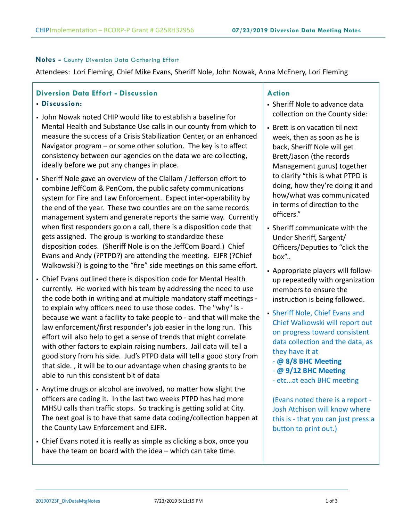### **Notes -** County Diversion Data Gathering Effort

Attendees: Lori Fleming, Chief Mike Evans, Sheriff Nole, John Nowak, Anna McEnery, Lori Fleming

# **Diversion Data Effort - Discussion**

## **Discussion:**

- John Nowak noted CHIP would like to establish a baseline for Mental Health and Substance Use calls in our county from which to measure the success of a Crisis Stabilization Center, or an enhanced Navigator program – or some other solution. The key is to affect consistency between our agencies on the data we are collecting, ideally before we put any changes in place.
- Sheriff Nole gave an overview of the Clallam / Jefferson effort to combine JeffCom & PenCom, the public safety communications system for Fire and Law Enforcement. Expect inter-operability by the end of the year. These two counties are on the same records management system and generate reports the same way. Currently when first responders go on a call, there is a disposition code that gets assigned. The group is working to standardize these disposition codes. (Sheriff Nole is on the JeffCom Board.) Chief Evans and Andy (?PTPD?) are attending the meeting. EJFR (?Chief Walkowski?) is going to the "fire" side meetings on this same effort.
- Chief Evans outlined there is disposition code for Mental Health currently. He worked with his team by addressing the need to use the code both in writing and at multiple mandatory staff meetings to explain why officers need to use those codes. The "why" is because we want a facility to take people to - and that will make the law enforcement/first responder's job easier in the long run. This effort will also help to get a sense of trends that might correlate with other factors to explain raising numbers. Jail data will tell a good story from his side. Jud's PTPD data will tell a good story from that side. , it will be to our advantage when chasing grants to be able to run this consistent bit of data
- Anytime drugs or alcohol are involved, no matter how slight the officers are coding it. In the last two weeks PTPD has had more MHSU calls than traffic stops. So tracking is getting solid at City. The next goal is to have that same data coding/collection happen at the County Law Enforcement and EJFR.
- Chief Evans noted it is really as simple as clicking a box, once you have the team on board with the idea – which can take time.

### **Action**

- Sheriff Nole to advance data collection on the County side:
- Brett is on vacation til next week, then as soon as he is back, Sheriff Nole will get Brett/Jason (the records Management gurus) together to clarify "this is what PTPD is doing, how they're doing it and how/what was communicated in terms of direction to the officers."
- Sheriff communicate with the Under Sheriff, Sargent/ Officers/Deputies to "click the box"..
- Appropriate players will followup repeatedly with organization members to ensure the instruction is being followed.
- Sheriff Nole, Chief Evans and Chief Walkowski will report out on progress toward consistent data collection and the data, as they have it at
	- **@ 8/8 BHC Meeting**
	- **@ 9/12 BHC Meeting**
	- etc…at each BHC meeting

(Evans noted there is a report - Josh Atchison will know where this is - that you can just press a button to print out.)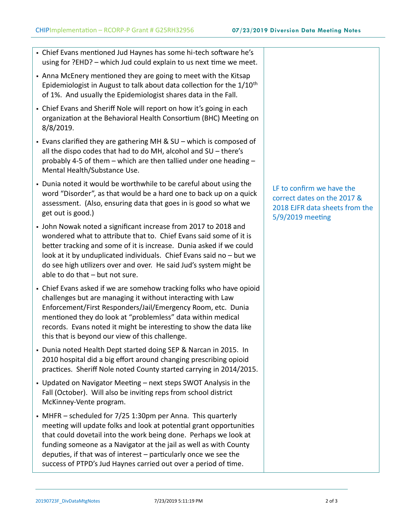- Chief Evans mentioned Jud Haynes has some hi-tech software he's using for ?EHD? – which Jud could explain to us next time we meet.
- Anna McEnery mentioned they are going to meet with the Kitsap Epidemiologist in August to talk about data collection for the 1/10th of 1%. And usually the Epidemiologist shares data in the Fall.
- Chief Evans and Sheriff Nole will report on how it's going in each organization at the Behavioral Health Consortium (BHC) Meeting on 8/8/2019.
- Evans clarified they are gathering MH & SU which is composed of all the dispo codes that had to do MH, alcohol and SU – there's probably 4-5 of them – which are then tallied under one heading – Mental Health/Substance Use.
- Dunia noted it would be worthwhile to be careful about using the word "Disorder", as that would be a hard one to back up on a quick assessment. (Also, ensuring data that goes in is good so what we get out is good.)
- John Nowak noted a significant increase from 2017 to 2018 and wondered what to attribute that to. Chief Evans said some of it is better tracking and some of it is increase. Dunia asked if we could look at it by unduplicated individuals. Chief Evans said no – but we do see high utilizers over and over. He said Jud's system might be able to do that – but not sure.
- Chief Evans asked if we are somehow tracking folks who have opioid challenges but are managing it without interacting with Law Enforcement/First Responders/Jail/Emergency Room, etc. Dunia mentioned they do look at "problemless" data within medical records. Evans noted it might be interesting to show the data like this that is beyond our view of this challenge.
- Dunia noted Health Dept started doing SEP & Narcan in 2015. In 2010 hospital did a big effort around changing prescribing opioid practices. Sheriff Nole noted County started carrying in 2014/2015.
- Updated on Navigator Meeting next steps SWOT Analysis in the Fall (October). Will also be inviting reps from school district McKinney-Vente program.
- MHFR scheduled for 7/25 1:30pm per Anna. This quarterly meeting will update folks and look at potential grant opportunities that could dovetail into the work being done. Perhaps we look at funding someone as a Navigator at the jail as well as with County deputies, if that was of interest – particularly once we see the success of PTPD's Jud Haynes carried out over a period of time.

LF to confirm we have the correct dates on the 2017 & 2018 EJFR data sheets from the 5/9/2019 meeting